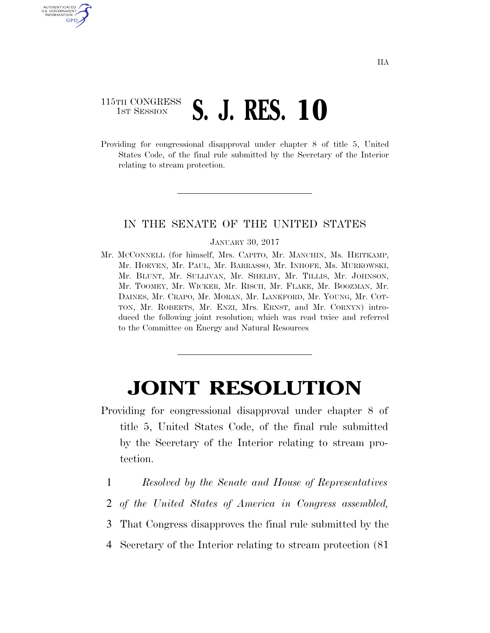## 115TH CONGRESS **1ST SESSION S. J. RES. 10**

AUTHENTICATED U.S. GOVERNMENT GPO

> Providing for congressional disapproval under chapter 8 of title 5, United States Code, of the final rule submitted by the Secretary of the Interior relating to stream protection.

## IN THE SENATE OF THE UNITED STATES

## JANUARY 30, 2017

Mr. MCCONNELL (for himself, Mrs. CAPITO, Mr. MANCHIN, Ms. HEITKAMP, Mr. HOEVEN, Mr. PAUL, Mr. BARRASSO, Mr. INHOFE, Ms. MURKOWSKI, Mr. BLUNT, Mr. SULLIVAN, Mr. SHELBY, Mr. TILLIS, Mr. JOHNSON, Mr. TOOMEY, Mr. WICKER, Mr. RISCH, Mr. FLAKE, Mr. BOOZMAN, Mr. DAINES, Mr. CRAPO, Mr. MORAN, Mr. LANKFORD, Mr. YOUNG, Mr. COT-TON, Mr. ROBERTS, Mr. ENZI, Mrs. ERNST, and Mr. CORNYN) introduced the following joint resolution; which was read twice and referred to the Committee on Energy and Natural Resources

## **JOINT RESOLUTION**

- Providing for congressional disapproval under chapter 8 of title 5, United States Code, of the final rule submitted by the Secretary of the Interior relating to stream protection.
	- 1 *Resolved by the Senate and House of Representatives*
	- 2 *of the United States of America in Congress assembled,*
	- 3 That Congress disapproves the final rule submitted by the
	- 4 Secretary of the Interior relating to stream protection (81